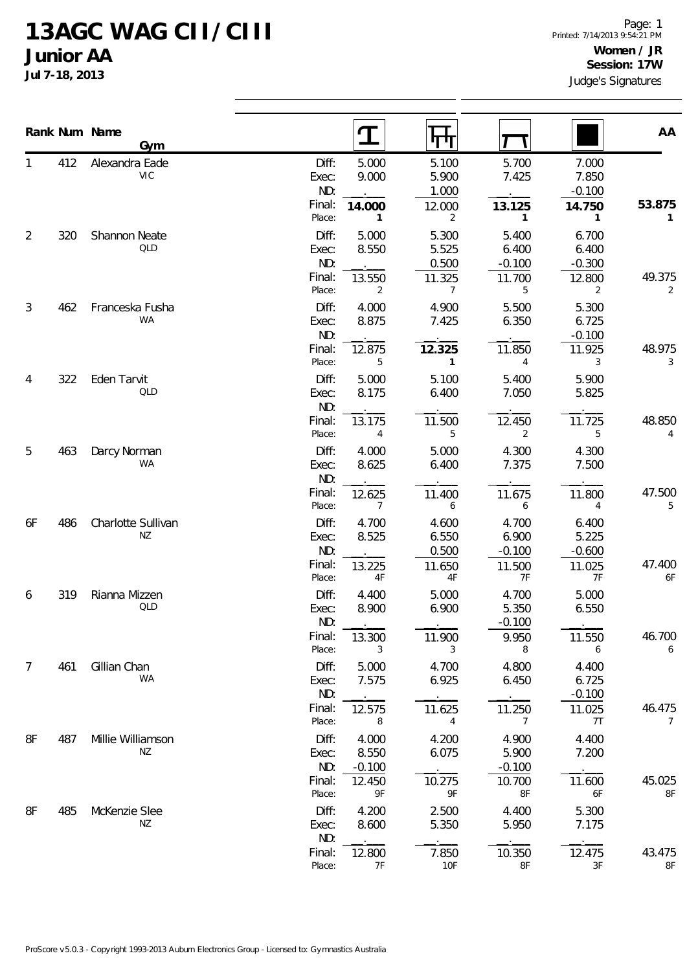## **13AGC WAG CII/CIII Junior AA**

**Jul 7-18, 2013**

|    |     | Rank Num Name<br>Gym         |                                 | $\mathbf T$                | पग                                |                                      |                                      | AA                       |
|----|-----|------------------------------|---------------------------------|----------------------------|-----------------------------------|--------------------------------------|--------------------------------------|--------------------------|
|    | 412 | Alexandra Eade<br><b>VIC</b> | Diff:<br>Exec:<br>ND:           | 5.000<br>9.000             | 5.100<br>5.900<br>1.000           | 5.700<br>7.425                       | 7.000<br>7.850<br>$-0.100$           |                          |
|    |     |                              | Final:<br>Place:                | 14.000<br>1                | 12.000<br>2                       | 13.125<br>$\mathbf{1}$               | 14.750<br>1                          | 53.875<br>1              |
| 2  | 320 | Shannon Neate<br>QLD         | Diff:<br>Exec:<br>ND:           | 5.000<br>8.550             | 5.300<br>5.525<br>0.500           | 5.400<br>6.400<br>$-0.100$           | 6.700<br>6.400<br>$-0.300$           |                          |
|    |     |                              | Final:<br>Place:                | 13.550<br>2                | 11.325<br>$\overline{7}$          | 11.700<br>5                          | 12.800<br>$\overline{2}$             | 49.375<br>2              |
| 3  | 462 | Franceska Fusha<br>WA        | Diff:<br>Exec:<br>ND:           | 4.000<br>8.875             | 4.900<br>7.425                    | 5.500<br>6.350                       | 5.300<br>6.725<br>$-0.100$           |                          |
|    |     |                              | Final:<br>Place:                | 12.875<br>5                | 12.325<br>$\mathbf{1}$            | 11.850<br>$\overline{4}$             | 11.925<br>3                          | 48.975<br>3              |
| 4  | 322 | Eden Tarvit<br>QLD           | Diff:<br>Exec:<br>ND:           | 5.000<br>8.175             | 5.100<br>6.400                    | 5.400<br>7.050                       | 5.900<br>5.825                       |                          |
|    |     |                              | Final:<br>Place:                | 13.175<br>4                | 11.500<br>5                       | 12.450<br>2                          | 11.725<br>5                          | 48.850<br>4              |
| 5  | 463 | Darcy Norman<br>WA           | Diff:<br>Exec:<br>ND:           | 4.000<br>8.625             | 5.000<br>6.400                    | 4.300<br>7.375                       | 4.300<br>7.500                       |                          |
|    |     |                              | Final:<br>Place:                | 12.625<br>7                | 11.400<br>6                       | 11.675<br>6                          | 11.800<br>4                          | 47.500<br>5              |
| 6F | 486 | Charlotte Sullivan<br>NZ     | Diff:<br>Exec:<br>ND:<br>Final: | 4.700<br>8.525<br>13.225   | 4.600<br>6.550<br>0.500<br>11.650 | 4.700<br>6.900<br>$-0.100$<br>11.500 | 6.400<br>5.225<br>$-0.600$<br>11.025 | 47.400                   |
|    | 319 | Rianna Mizzen                | Place:<br>Diff:                 | 4F<br>4.400                | 4F<br>5.000                       | 7F<br>4.700                          | 7F<br>5.000                          | 6F                       |
| 6  |     | QLD                          | Exec:<br>ND:                    | 8.900                      | 6.900                             | 5.350<br>$-0.100$                    | 6.550                                |                          |
|    |     |                              | Final:<br>Place:                | 13.300<br>3                | 11.900<br>3                       | 9.950<br>8                           | 11.550<br>6                          | 46.700<br>6              |
| 7  | 461 | Gillian Chan<br>WA           | Diff:<br>Exec:<br>ND:           | 5.000<br>7.575             | 4.700<br>6.925                    | 4.800<br>6.450                       | 4.400<br>6.725<br>$-0.100$           |                          |
|    |     |                              | Final:<br>Place:                | 12.575<br>8                | 11.625<br>$\overline{4}$          | 11.250<br>$\overline{7}$             | 11.025<br>7T                         | 46.475<br>$\overline{7}$ |
| 8F | 487 | Millie Williamson<br>ΝZ      | Diff:<br>Exec:<br>ND:           | 4.000<br>8.550<br>$-0.100$ | 4.200<br>6.075                    | 4.900<br>5.900<br>$-0.100$           | 4.400<br>7.200                       |                          |
|    |     |                              | Final:<br>Place:                | 12.450<br>9F               | 10.275<br>9F                      | 10.700<br>8F                         | 11.600<br>6F                         | 45.025<br>8F             |
| 8F | 485 | McKenzie Slee<br>ΝZ          | Diff:<br>Exec:<br>ND:           | 4.200<br>8.600             | 2.500<br>5.350                    | 4.400<br>5.950                       | 5.300<br>7.175                       |                          |
|    |     |                              | Final:<br>Place:                | 12.800<br>7F               | 7.850<br>10F                      | 10.350<br>8F                         | 12.475<br>3F                         | 43.475<br>8F             |